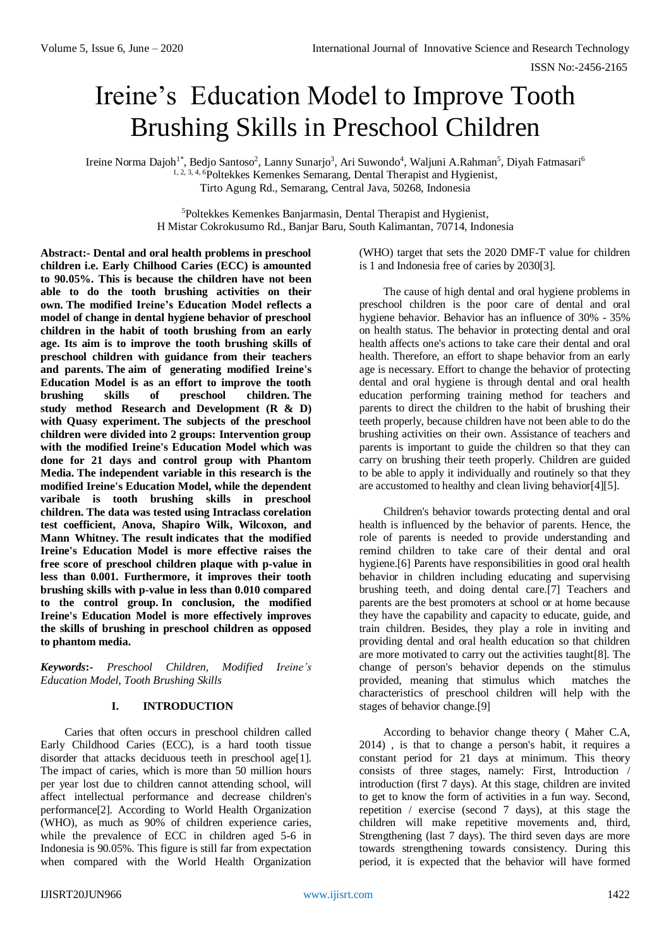# Ireine's Education Model to Improve Tooth Brushing Skills in Preschool Children

Ireine Norma Dajoh<sup>1\*</sup>, Bedjo Santoso<sup>2</sup>, Lanny Sunarjo<sup>3</sup>, Ari Suwondo<sup>4</sup>, Waljuni A.Rahman<sup>5</sup>, Diyah Fatmasari<sup>6</sup> 1, 2, 3, 4, 6Poltekkes Kemenkes Semarang, Dental Therapist and Hygienist, Tirto Agung Rd., Semarang, Central Java, 50268, Indonesia

> <sup>5</sup>Poltekkes Kemenkes Banjarmasin, Dental Therapist and Hygienist, H Mistar Cokrokusumo Rd., Banjar Baru, South Kalimantan, 70714, Indonesia

**Abstract:- Dental and oral health problems in preschool children i.e. Early Chilhood Caries (ECC) is amounted to 90.05%. This is because the children have not been able to do the tooth brushing activities on their own. The modified Ireine's Education Model reflects a model of change in dental hygiene behavior of preschool children in the habit of tooth brushing from an early age. Its aim is to improve the tooth brushing skills of preschool children with guidance from their teachers and parents. The aim of generating modified Ireine's Education Model is as an effort to improve the tooth brushing skills of preschool children. The study method Research and Development (R & D) with Quasy experiment. The subjects of the preschool children were divided into 2 groups: Intervention group with the modified Ireine's Education Model which was done for 21 days and control group with Phantom Media. The independent variable in this research is the modified Ireine's Education Model, while the dependent varibale is tooth brushing skills in preschool children. The data was tested using Intraclass corelation test coefficient, Anova, Shapiro Wilk, Wilcoxon, and Mann Whitney. The result indicates that the modified Ireine's Education Model is more effective raises the free score of preschool children plaque with p-value in less than 0.001. Furthermore, it improves their tooth brushing skills with p-value in less than 0.010 compared to the control group. In conclusion, the modified Ireine's Education Model is more effectively improves the skills of brushing in preschool children as opposed to phantom media.**

*Keywords***:-** *Preschool Children, Modified Ireine's Education Model, Tooth Brushing Skills*

# **I. INTRODUCTION**

Caries that often occurs in preschool children called Early Childhood Caries (ECC), is a hard tooth tissue disorder that attacks deciduous teeth in preschool age[1]. The impact of caries, which is more than 50 million hours per year lost due to children cannot attending school, will affect intellectual performance and decrease children's performance[2]. According to World Health Organization (WHO), as much as 90% of children experience caries, while the prevalence of ECC in children aged 5-6 in Indonesia is 90.05%. This figure is still far from expectation when compared with the World Health Organization (WHO) target that sets the 2020 DMF-T value for children is 1 and Indonesia free of caries by 2030[3].

The cause of high dental and oral hygiene problems in preschool children is the poor care of dental and oral hygiene behavior. Behavior has an influence of 30% - 35% on health status. The behavior in protecting dental and oral health affects one's actions to take care their dental and oral health. Therefore, an effort to shape behavior from an early age is necessary. Effort to change the behavior of protecting dental and oral hygiene is through dental and oral health education performing training method for teachers and parents to direct the children to the habit of brushing their teeth properly, because children have not been able to do the brushing activities on their own. Assistance of teachers and parents is important to guide the children so that they can carry on brushing their teeth properly. Children are guided to be able to apply it individually and routinely so that they are accustomed to healthy and clean living behavior[4][5].

Children's behavior towards protecting dental and oral health is influenced by the behavior of parents. Hence, the role of parents is needed to provide understanding and remind children to take care of their dental and oral hygiene.[6] Parents have responsibilities in good oral health behavior in children including educating and supervising brushing teeth, and doing dental care.[7] Teachers and parents are the best promoters at school or at home because they have the capability and capacity to educate, guide, and train children. Besides, they play a role in inviting and providing dental and oral health education so that children are more motivated to carry out the activities taught[8]. The change of person's behavior depends on the stimulus provided, meaning that stimulus which matches the characteristics of preschool children will help with the stages of behavior change.[9]

According to behavior change theory ( Maher C.A, 2014) , is that to change a person's habit, it requires a constant period for 21 days at minimum. This theory consists of three stages, namely: First, Introduction / introduction (first 7 days). At this stage, children are invited to get to know the form of activities in a fun way. Second, repetition / exercise (second 7 days), at this stage the children will make repetitive movements and, third, Strengthening (last 7 days). The third seven days are more towards strengthening towards consistency. During this period, it is expected that the behavior will have formed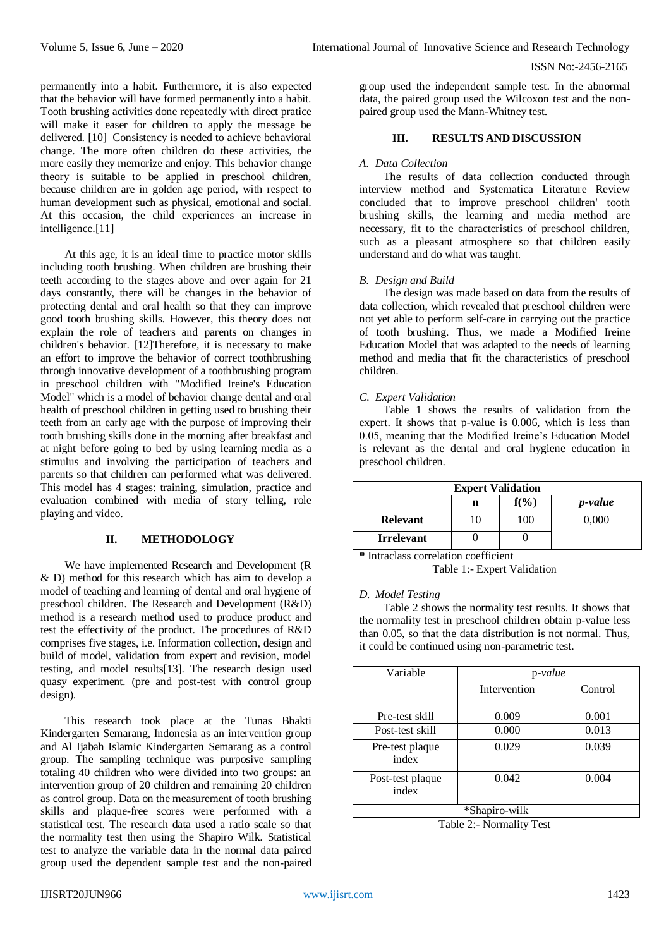permanently into a habit. Furthermore, it is also expected that the behavior will have formed permanently into a habit. Tooth brushing activities done repeatedly with direct pratice will make it easer for children to apply the message be delivered. [10] Consistency is needed to achieve behavioral change. The more often children do these activities, the more easily they memorize and enjoy. This behavior change theory is suitable to be applied in preschool children, because children are in golden age period, with respect to human development such as physical, emotional and social. At this occasion, the child experiences an increase in intelligence.[11]

At this age, it is an ideal time to practice motor skills including tooth brushing. When children are brushing their teeth according to the stages above and over again for 21 days constantly, there will be changes in the behavior of protecting dental and oral health so that they can improve good tooth brushing skills. However, this theory does not explain the role of teachers and parents on changes in children's behavior. [12]Therefore, it is necessary to make an effort to improve the behavior of correct toothbrushing through innovative development of a toothbrushing program in preschool children with "Modified Ireine's Education Model" which is a model of behavior change dental and oral health of preschool children in getting used to brushing their teeth from an early age with the purpose of improving their tooth brushing skills done in the morning after breakfast and at night before going to bed by using learning media as a stimulus and involving the participation of teachers and parents so that children can performed what was delivered. This model has 4 stages: training, simulation, practice and evaluation combined with media of story telling, role playing and video.

# **II. METHODOLOGY**

We have implemented Research and Development (R & D) method for this research which has aim to develop a model of teaching and learning of dental and oral hygiene of preschool children. The Research and Development (R&D) method is a research method used to produce product and test the effectivity of the product. The procedures of R&D comprises five stages, i.e. Information collection, design and build of model, validation from expert and revision, model testing, and model results[13]. The research design used quasy experiment. (pre and post-test with control group design).

This research took place at the Tunas Bhakti Kindergarten Semarang, Indonesia as an intervention group and Al Ijabah Islamic Kindergarten Semarang as a control group. The sampling technique was purposive sampling totaling 40 children who were divided into two groups: an intervention group of 20 children and remaining 20 children as control group. Data on the measurement of tooth brushing skills and plaque-free scores were performed with a statistical test. The research data used a ratio scale so that the normality test then using the Shapiro Wilk. Statistical test to analyze the variable data in the normal data paired group used the dependent sample test and the non-paired

group used the independent sample test. In the abnormal data, the paired group used the Wilcoxon test and the nonpaired group used the Mann-Whitney test.

## **III. RESULTS AND DISCUSSION**

#### *A. Data Collection*

The results of data collection conducted through interview method and Systematica Literature Review concluded that to improve preschool children' tooth brushing skills, the learning and media method are necessary, fit to the characteristics of preschool children, such as a pleasant atmosphere so that children easily understand and do what was taught.

## *B. Design and Build*

The design was made based on data from the results of data collection, which revealed that preschool children were not yet able to perform self-care in carrying out the practice of tooth brushing. Thus, we made a Modified Ireine Education Model that was adapted to the needs of learning method and media that fit the characteristics of preschool children.

## *C. Expert Validation*

Table 1 shows the results of validation from the expert. It shows that p-value is 0.006, which is less than 0.05, meaning that the Modified Ireine's Education Model is relevant as the dental and oral hygiene education in preschool children.

| <b>Expert Validation</b> |   |         |                 |  |  |
|--------------------------|---|---------|-----------------|--|--|
|                          | n | $f(\%)$ | <i>p</i> -value |  |  |
| <b>Relevant</b>          |   | 100     | 0.000           |  |  |
| <b>Irrelevant</b>        |   |         |                 |  |  |

**\*** Intraclass correlation coefficient

Table 1:- Expert Validation

## *D. Model Testing*

Table 2 shows the normality test results. It shows that the normality test in preschool children obtain p-value less than 0.05, so that the data distribution is not normal. Thus, it could be continued using non-parametric test.

| Variable                  | p-value      |         |  |  |  |
|---------------------------|--------------|---------|--|--|--|
|                           | Intervention | Control |  |  |  |
|                           |              |         |  |  |  |
| Pre-test skill            | 0.009        | 0.001   |  |  |  |
| Post-test skill           | 0.000        | 0.013   |  |  |  |
| Pre-test plaque<br>index  | 0.029        | 0.039   |  |  |  |
| Post-test plaque<br>index | 0.042        | 0.004   |  |  |  |
| *Shapiro-wilk             |              |         |  |  |  |

Table 2:- Normality Test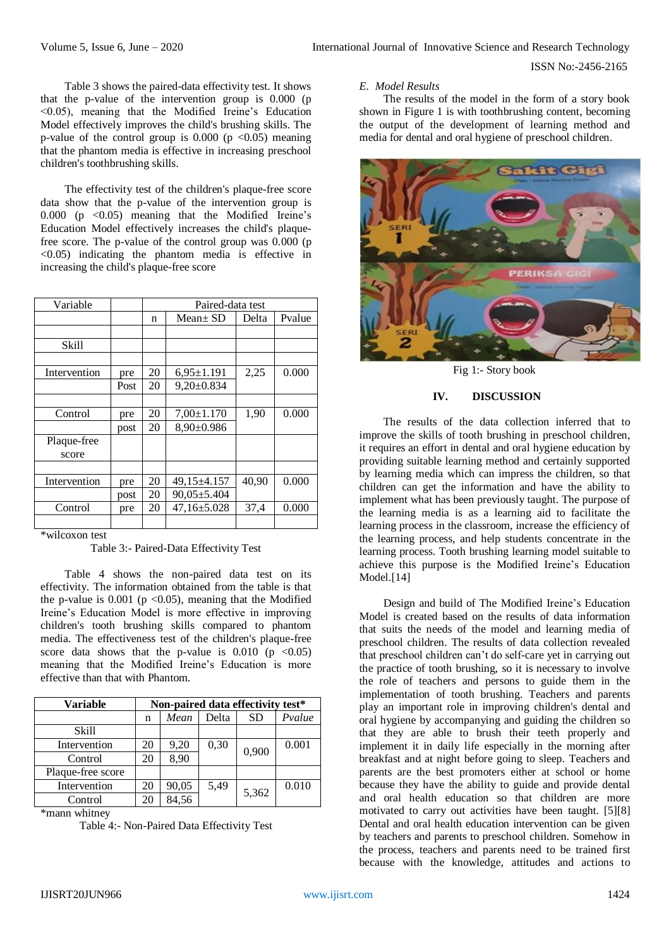Table 3 shows the paired-data effectivity test. It shows that the p-value of the intervention group is 0.000 (p <0.05), meaning that the Modified Ireine's Education Model effectively improves the child's brushing skills. The p-value of the control group is  $0.000$  (p <0.05) meaning that the phantom media is effective in increasing preschool children's toothbrushing skills.

The effectivity test of the children's plaque-free score data show that the p-value of the intervention group is 0.000 (p  $\langle 0.05 \rangle$  meaning that the Modified Ireine's Education Model effectively increases the child's plaquefree score. The p-value of the control group was 0.000 (p <0.05) indicating the phantom media is effective in increasing the child's plaque-free score

| Variable     |      | Paired-data test |                   |       |        |
|--------------|------|------------------|-------------------|-------|--------|
|              |      | n                | $Mean \pm SD$     | Delta | Pvalue |
|              |      |                  |                   |       |        |
| Skill        |      |                  |                   |       |        |
|              |      |                  |                   |       |        |
| Intervention | pre  | 20               | $6.95 \pm 1.191$  | 2,25  | 0.000  |
|              | Post | 20               | $9,20 \pm 0.834$  |       |        |
|              |      |                  |                   |       |        |
| Control      | pre  | 20               | $7,00 \pm 1.170$  | 1,90  | 0.000  |
|              | post | 20               | $8,90 \pm 0.986$  |       |        |
| Plaque-free  |      |                  |                   |       |        |
| score        |      |                  |                   |       |        |
|              |      |                  |                   |       |        |
| Intervention | pre  | 20               | 49,15±4.157       | 40,90 | 0.000  |
|              | post | 20               | $90,05 \pm 5.404$ |       |        |
| Control      | pre  | 20               | $47,16 \pm 5.028$ | 37,4  | 0.000  |
|              |      |                  |                   |       |        |

\*wilcoxon test

Table 3:- Paired-Data Effectivity Test

Table 4 shows the non-paired data test on its effectivity. The information obtained from the table is that the p-value is  $0.001$  (p < 0.05), meaning that the Modified Ireine's Education Model is more effective in improving children's tooth brushing skills compared to phantom media. The effectiveness test of the children's plaque-free score data shows that the p-value is  $0.010$  (p  $\leq 0.05$ ) meaning that the Modified Ireine's Education is more effective than that with Phantom.

| <b>Variable</b>   | Non-paired data effectivity test* |       |       |           |        |
|-------------------|-----------------------------------|-------|-------|-----------|--------|
|                   | n                                 | Mean  | Delta | <b>SD</b> | Pvalue |
| <b>Skill</b>      |                                   |       |       |           |        |
| Intervention      | 20                                | 9,20  | 0,30  | 0,900     | 0.001  |
| Control           | 20                                | 8,90  |       |           |        |
| Plaque-free score |                                   |       |       |           |        |
| Intervention      | 20                                | 90,05 | 5,49  | 5,362     | 0.010  |
| Control           | 20                                | 84,56 |       |           |        |

\*mann whitney

Table 4:- Non-Paired Data Effectivity Test

#### *E. Model Results*

The results of the model in the form of a story book shown in Figure 1 is with toothbrushing content, becoming the output of the development of learning method and media for dental and oral hygiene of preschool children.



Fig 1:- Story book

#### **IV. DISCUSSION**

The results of the data collection inferred that to improve the skills of tooth brushing in preschool children, it requires an effort in dental and oral hygiene education by providing suitable learning method and certainly supported by learning media which can impress the children, so that children can get the information and have the ability to implement what has been previously taught. The purpose of the learning media is as a learning aid to facilitate the learning process in the classroom, increase the efficiency of the learning process, and help students concentrate in the learning process. Tooth brushing learning model suitable to achieve this purpose is the Modified Ireine's Education Model.<sup>[14]</sup>

Design and build of The Modified Ireine's Education Model is created based on the results of data information that suits the needs of the model and learning media of preschool children. The results of data collection revealed that preschool children can't do self-care yet in carrying out the practice of tooth brushing, so it is necessary to involve the role of teachers and persons to guide them in the implementation of tooth brushing. Teachers and parents play an important role in improving children's dental and oral hygiene by accompanying and guiding the children so that they are able to brush their teeth properly and implement it in daily life especially in the morning after breakfast and at night before going to sleep. Teachers and parents are the best promoters either at school or home because they have the ability to guide and provide dental and oral health education so that children are more motivated to carry out activities have been taught. [5][8] Dental and oral health education intervention can be given by teachers and parents to preschool children. Somehow in the process, teachers and parents need to be trained first because with the knowledge, attitudes and actions to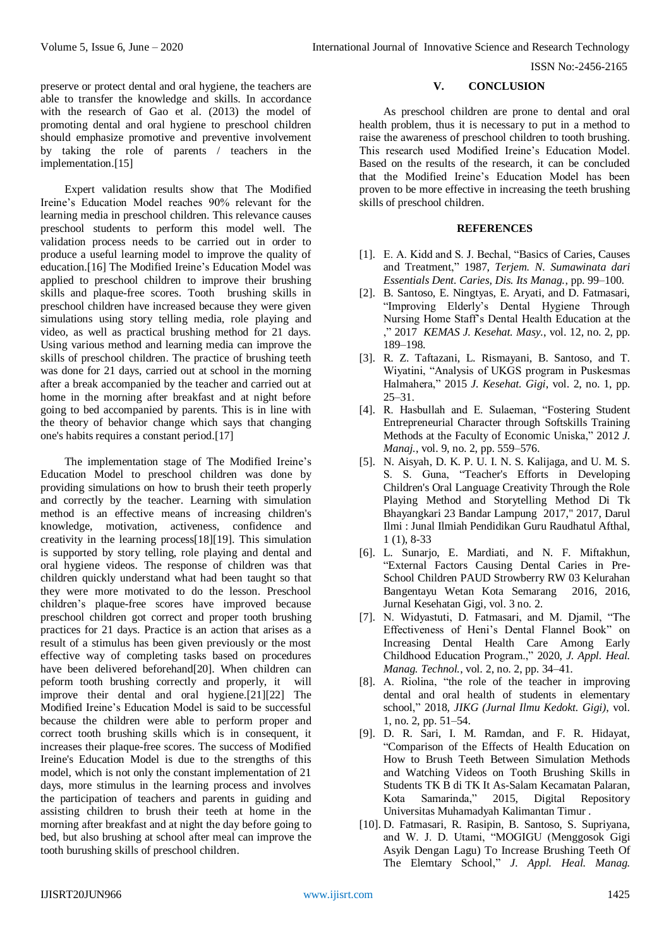# **V. CONCLUSION**

As preschool children are prone to dental and oral health problem, thus it is necessary to put in a method to raise the awareness of preschool children to tooth brushing. This research used Modified Ireine's Education Model. Based on the results of the research, it can be concluded that the Modified Ireine's Education Model has been proven to be more effective in increasing the teeth brushing skills of preschool children.

## **REFERENCES**

- [1]. E. A. Kidd and S. J. Bechal, "Basics of Caries, Causes and Treatment," 1987, *Terjem. N. Sumawinata dari Essentials Dent. Caries, Dis. Its Manag.*, pp. 99–100.
- [2]. B. Santoso, E. Ningtyas, E. Aryati, and D. Fatmasari, "Improving Elderly's Dental Hygiene Through Nursing Home Staff's Dental Health Education at the ," 2017 *KEMAS J. Kesehat. Masy.*, vol. 12, no. 2, pp. 189–198.
- [3]. R. Z. Taftazani, L. Rismayani, B. Santoso, and T. Wiyatini, "Analysis of UKGS program in Puskesmas Halmahera," 2015 *J. Kesehat. Gigi*, vol. 2, no. 1, pp. 25–31.
- [4]. R. Hasbullah and E. Sulaeman, "Fostering Student Entrepreneurial Character through Softskills Training Methods at the Faculty of Economic Uniska," 2012 *J. Manaj.*, vol. 9, no. 2, pp. 559–576.
- [5]. N. Aisyah, D. K. P. U. I. N. S. Kalijaga, and U. M. S. S. S. Guna, "Teacher's Efforts in Developing Children's Oral Language Creativity Through the Role Playing Method and Storytelling Method Di Tk Bhayangkari 23 Bandar Lampung 2017," 2017, Darul Ilmi : Junal Ilmiah Pendidikan Guru Raudhatul Afthal, 1 (1), 8-33
- [6]. L. Sunarjo, E. Mardiati, and N. F. Miftakhun, "External Factors Causing Dental Caries in Pre-School Children PAUD Strowberry RW 03 Kelurahan Bangentayu Wetan Kota Semarang 2016, 2016, Jurnal Kesehatan Gigi, vol. 3 no. 2.
- [7]. N. Widyastuti, D. Fatmasari, and M. Djamil, "The Effectiveness of Heni's Dental Flannel Book" on Increasing Dental Health Care Among Early Childhood Education Program.," 2020, *J. Appl. Heal. Manag. Technol.*, vol. 2, no. 2, pp. 34–41.
- [8]. A. Riolina, "the role of the teacher in improving dental and oral health of students in elementary school," 2018, *JIKG (Jurnal Ilmu Kedokt. Gigi)*, vol. 1, no. 2, pp. 51–54.
- [9]. D. R. Sari, I. M. Ramdan, and F. R. Hidayat, "Comparison of the Effects of Health Education on How to Brush Teeth Between Simulation Methods and Watching Videos on Tooth Brushing Skills in Students TK B di TK It As-Salam Kecamatan Palaran, Kota Samarinda," 2015, Digital Repository Universitas Muhamadyah Kalimantan Timur .
- [10]. D. Fatmasari, R. Rasipin, B. Santoso, S. Supriyana, and W. J. D. Utami, "MOGIGU (Menggosok Gigi Asyik Dengan Lagu) To Increase Brushing Teeth Of The Elemtary School," *J. Appl. Heal. Manag.*

preserve or protect dental and oral hygiene, the teachers are able to transfer the knowledge and skills. In accordance with the research of Gao et al. (2013) the model of promoting dental and oral hygiene to preschool children should emphasize promotive and preventive involvement by taking the role of parents / teachers in the implementation.[15]

Expert validation results show that The Modified Ireine's Education Model reaches 90% relevant for the learning media in preschool children. This relevance causes preschool students to perform this model well. The validation process needs to be carried out in order to produce a useful learning model to improve the quality of education.[16] The Modified Ireine's Education Model was applied to preschool children to improve their brushing skills and plaque-free scores. Tooth brushing skills in preschool children have increased because they were given simulations using story telling media, role playing and video, as well as practical brushing method for 21 days. Using various method and learning media can improve the skills of preschool children. The practice of brushing teeth was done for 21 days, carried out at school in the morning after a break accompanied by the teacher and carried out at home in the morning after breakfast and at night before going to bed accompanied by parents. This is in line with the theory of behavior change which says that changing one's habits requires a constant period.[17]

The implementation stage of The Modified Ireine's Education Model to preschool children was done by providing simulations on how to brush their teeth properly and correctly by the teacher. Learning with simulation method is an effective means of increasing children's knowledge, motivation, activeness, confidence and creativity in the learning process[18][19]. This simulation is supported by story telling, role playing and dental and oral hygiene videos. The response of children was that children quickly understand what had been taught so that they were more motivated to do the lesson. Preschool children's plaque-free scores have improved because preschool children got correct and proper tooth brushing practices for 21 days. Practice is an action that arises as a result of a stimulus has been given previously or the most effective way of completing tasks based on procedures have been delivered beforehand[20]. When children can peform tooth brushing correctly and properly, it will improve their dental and oral hygiene.[21][22] The Modified Ireine's Education Model is said to be successful because the children were able to perform proper and correct tooth brushing skills which is in consequent, it increases their plaque-free scores. The success of Modified Ireine's Education Model is due to the strengths of this model, which is not only the constant implementation of 21 days, more stimulus in the learning process and involves the participation of teachers and parents in guiding and assisting children to brush their teeth at home in the morning after breakfast and at night the day before going to bed, but also brushing at school after meal can improve the tooth burushing skills of preschool children.